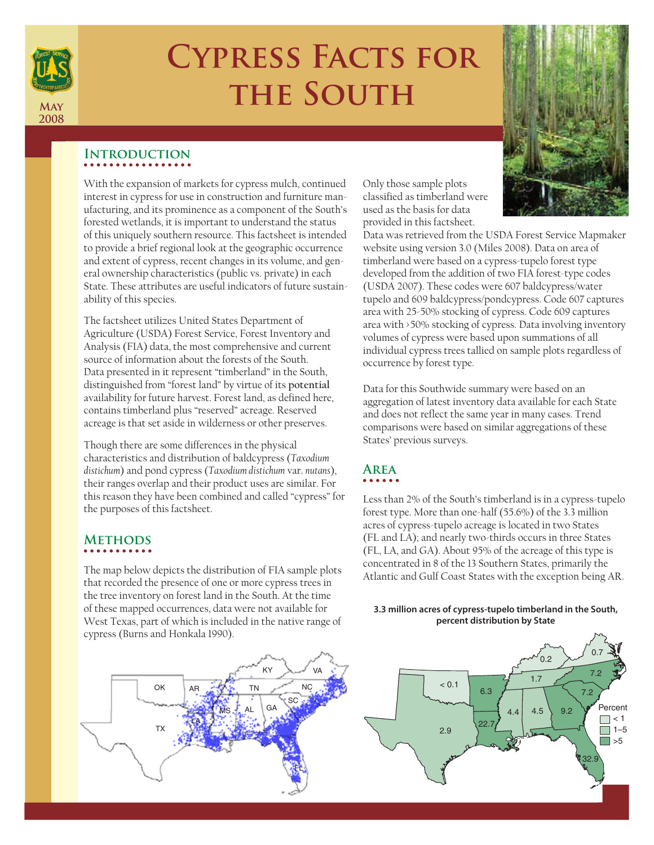

# **Cypress Facts for the South**

### **Introduction**

With the expansion of markets for cypress mulch, continued interest in cypress for use in construction and furniture manufacturing, and its prominence as a component of the South's forested wetlands, it is important to understand the status of this uniquely southern resource. This factsheet is intended to provide a brief regional look at the geographic occurrence and extent of cypress, recent changes in its volume, and general ownership characteristics (public vs. private) in each State. These attributes are useful indicators of future sustainability of this species.

The factsheet utilizes United States Department of Agriculture (USDA) Forest Service, Forest Inventory and Analysis (FIA) data, the most comprehensive and current source of information about the forests of the South. Data presented in it represent "timberland" in the South, distinguished from "forest land" by virtue of its **potential** availability for future harvest. Forest land, as defined here, contains timberland plus "reserved" acreage. Reserved acreage is that set aside in wilderness or other preserves.

Though there are some differences in the physical characteristics and distribution of baldcypress (*Taxodium distichum*) and pond cypress (*Taxodium distichum* var. *nutans*), their ranges overlap and their product uses are similar. For this reason they have been combined and called "cypress" for the purposes of this factsheet.

### **Methods**

The map below depicts the distribution of FIA sample plots that recorded the presence of one or more cypress trees in the tree inventory on forest land in the South. At the time of these mapped occurrences, data were not available for West Texas, part of which is included in the native range of cypress (Burns and Honkala 1990).



Only those sample plots classified as timberland were used as the basis for data provided in this factsheet.

Data was retrieved from the USDA Forest Service Mapmaker website using version 3.0 (Miles 2008). Data on area of timberland were based on a cypress-tupelo forest type developed from the addition of two FIA forest-type codes (USDA 2007). These codes were 607 baldcypress/water tupelo and 609 baldcypress/pondcypress. Code 607 captures area with 25-50% stocking of cypress. Code 609 captures area with >50% stocking of cypress. Data involving inventory volumes of cypress were based upon summations of all individual cypress trees tallied on sample plots regardless of occurrence by forest type.

Data for this Southwide summary were based on an aggregation of latest inventory data available for each State and does not reflect the same year in many cases. Trend comparisons were based on similar aggregations of these States' previous surveys.

### **Area**

Less than 2% of the South's timberland is in a cypress-tupelo forest type. More than one-half (55.6%) of the 3.3 million acres of cypress-tupelo acreage is located in two States (FL and LA); and nearly two-thirds occurs in three States (FL, LA, and GA). About 95% of the acreage of this type is concentrated in 8 of the 13 Southern States, primarily the Atlantic and Gulf Coast States with the exception being AR.

### **3.3 million acres of cypress-tupelo timberland in the South, percent distribution by State**

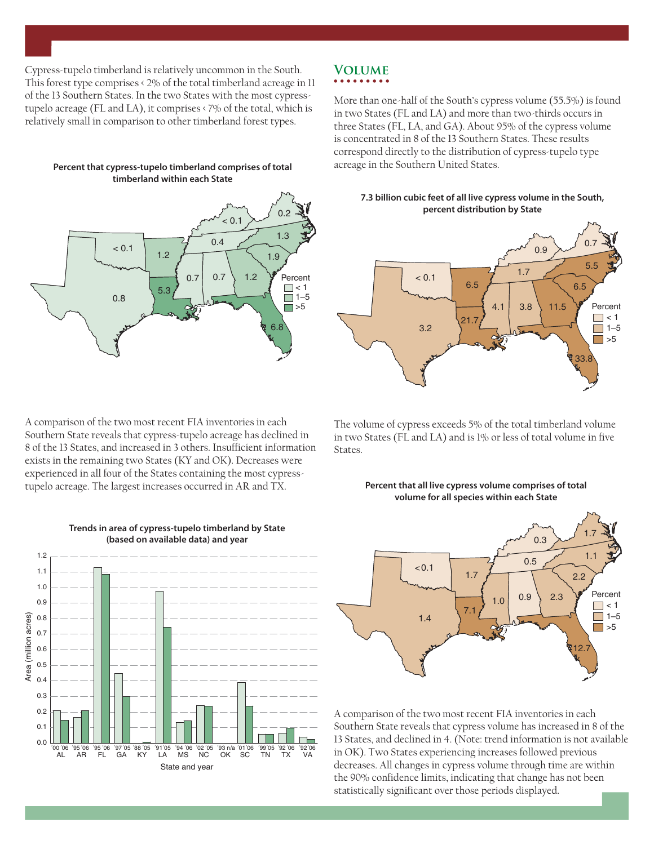Cypress-tupelo timberland is relatively uncommon in the South. This forest type comprises < 2% of the total timberland acreage in 11 of the 13 Southern States. In the two States with the most cypresstupelo acreage (FL and LA), it comprises < 7% of the total, which is relatively small in comparison to other timberland forest types.

**Percent that cypress-tupelo timberland comprises of total timberland within each State**



A comparison of the two most recent FIA inventories in each Southern State reveals that cypress-tupelo acreage has declined in 8 of the 13 States, and increased in 3 others. Insufficient information exists in the remaining two States (KY and OK). Decreases were experienced in all four of the States containing the most cypresstupelo acreage. The largest increases occurred in AR and TX.



#### **Trends in area of cypress-tupelo timberland by State (based on available data) and year**

## **Volume**

More than one-half of the South's cypress volume (55.5%) is found in two States (FL and LA) and more than two-thirds occurs in three States (FL, LA, and GA). About 95% of the cypress volume is concentrated in 8 of the 13 Southern States. These results correspond directly to the distribution of cypress-tupelo type acreage in the Southern United States.

#### **7.3 billion cubic feet of all live cypress volume in the South, percent distribution by State**



The volume of cypress exceeds 5% of the total timberland volume in two States (FL and LA) and is  $1\%$  or less of total volume in five States.

#### **Percent that all live cypress volume comprises of total volume for all species within each State**



A comparison of the two most recent FIA inventories in each Southern State reveals that cypress volume has increased in 8 of the 13 States, and declined in 4. (Note: trend information is not available in OK). Two States experiencing increases followed previous decreases. All changes in cypress volume through time are within the 90% confidence limits, indicating that change has not been statistically significant over those periods displayed.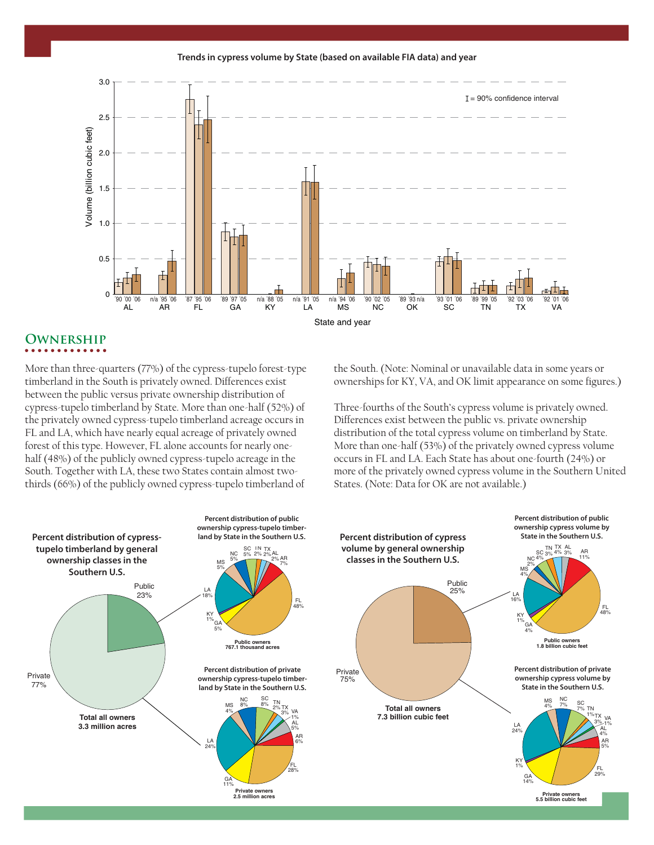**Trends in cypress volume by State (based on available FIA data) and year**



### **Ownership**

More than three-quarters (77%) of the cypress-tupelo forest-type timberland in the South is privately owned. Differences exist between the public versus private ownership distribution of cypress-tupelo timberland by State. More than one-half (52%) of the privately owned cypress-tupelo timberland acreage occurs in FL and LA, which have nearly equal acreage of privately owned forest of this type. However, FL alone accounts for nearly onehalf (48%) of the publicly owned cypress-tupelo acreage in the South. Together with LA, these two States contain almost twothirds (66%) of the publicly owned cypress-tupelo timberland of

the South. (Note: Nominal or unavailable data in some years or ownerships for KY, VA, and OK limit appearance on some figures.)

Three-fourths of the South's cypress volume is privately owned. Differences exist between the public vs. private ownership distribution of the total cypress volume on timberland by State. More than one-half (53%) of the privately owned cypress volume occurs in FL and LA. Each State has about one-fourth (24%) or more of the privately owned cypress volume in the Southern United States. (Note: Data for OK are not available.)